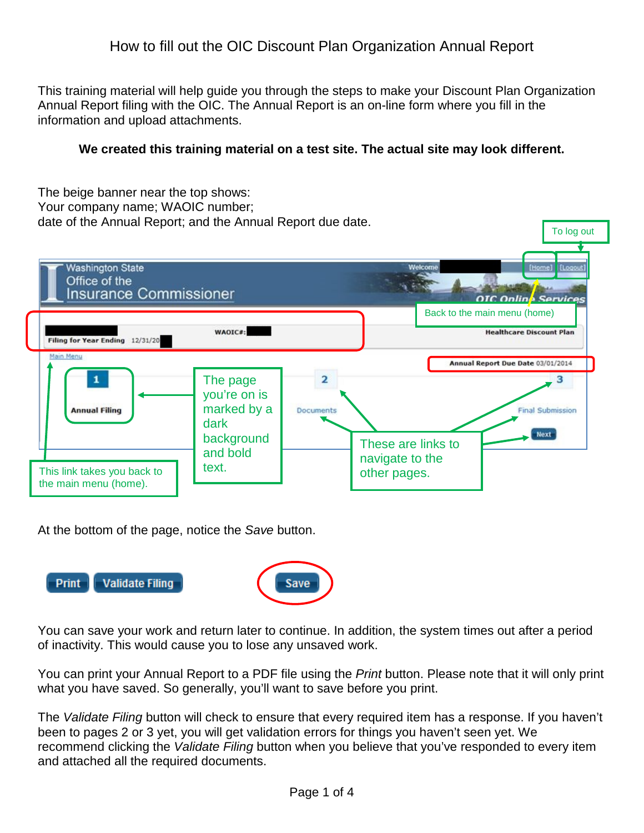# How to fill out the OIC Discount Plan Organization Annual Report

This training material will help guide you through the steps to make your Discount Plan Organization Annual Report filing with the OIC. The Annual Report is an on-line form where you fill in the information and upload attachments.

#### **We created this training material on a test site. The actual site may look different.**

The beige banner near the top shows: Your company name; WAOIC number; date of the Annual Report; and the Annual Report due date.



At the bottom of the page, notice the *Save* button.



You can save your work and return later to continue. In addition, the system times out after a period of inactivity. This would cause you to lose any unsaved work.

You can print your Annual Report to a PDF file using the *Print* button. Please note that it will only print what you have saved. So generally, you'll want to save before you print.

The *Validate Filing* button will check to ensure that every required item has a response. If you haven't been to pages 2 or 3 yet, you will get validation errors for things you haven't seen yet. We recommend clicking the *Validate Filing* button when you believe that you've responded to every item and attached all the required documents.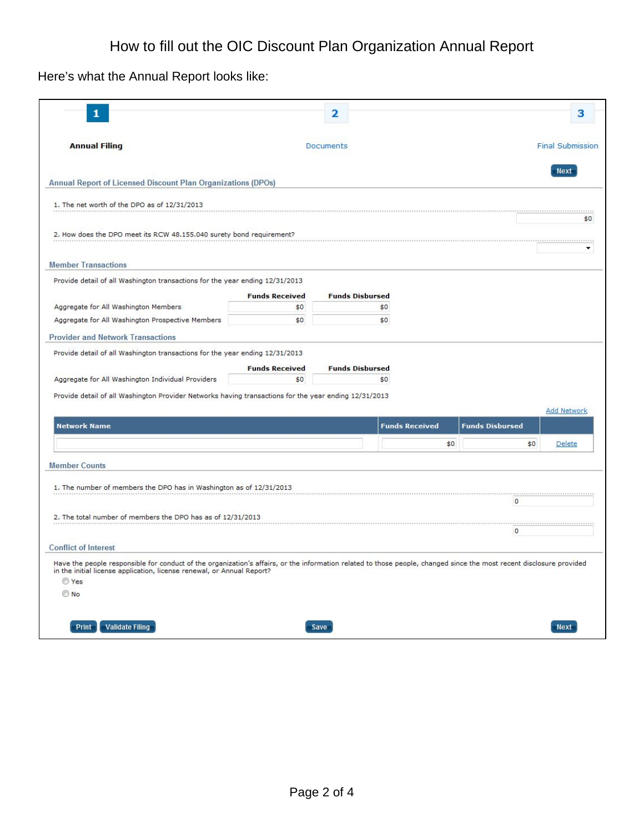Here's what the Annual Report looks like:

| 1                                                                                                                                                                                                                                                                                              |                       | 2                      |                       |                         | з   |
|------------------------------------------------------------------------------------------------------------------------------------------------------------------------------------------------------------------------------------------------------------------------------------------------|-----------------------|------------------------|-----------------------|-------------------------|-----|
| <b>Annual Filing</b>                                                                                                                                                                                                                                                                           |                       | <b>Documents</b>       |                       | <b>Final Submission</b> |     |
| Annual Report of Licensed Discount Plan Organizations (DPOs)                                                                                                                                                                                                                                   |                       |                        |                       | <b>Next</b>             |     |
| 1. The net worth of the DPO as of 12/31/2013                                                                                                                                                                                                                                                   |                       |                        |                       |                         |     |
| 2. How does the DPO meet its RCW 48.155.040 surety bond requirement?                                                                                                                                                                                                                           |                       |                        |                       |                         | \$0 |
| <b>Member Transactions</b>                                                                                                                                                                                                                                                                     |                       |                        |                       |                         | ۰   |
| Provide detail of all Washington transactions for the year ending 12/31/2013                                                                                                                                                                                                                   |                       |                        |                       |                         |     |
|                                                                                                                                                                                                                                                                                                | <b>Funds Received</b> | <b>Funds Disbursed</b> |                       |                         |     |
| Aggregate for All Washington Members<br>Aggregate for All Washington Prospective Members                                                                                                                                                                                                       | \$0<br>\$0            | \$0<br>\$0             |                       |                         |     |
|                                                                                                                                                                                                                                                                                                |                       |                        |                       |                         |     |
| Provide detail of all Washington Provider Networks having transactions for the year ending 12/31/2013                                                                                                                                                                                          |                       |                        |                       | <b>Add Network</b>      |     |
| <b>Network Name</b>                                                                                                                                                                                                                                                                            |                       |                        | <b>Funds Received</b> | <b>Funds Disbursed</b>  |     |
|                                                                                                                                                                                                                                                                                                |                       |                        | \$0                   | \$0<br>Delete           |     |
| <b>Member Counts</b>                                                                                                                                                                                                                                                                           |                       |                        |                       |                         |     |
| 1. The number of members the DPO has in Washington as of 12/31/2013                                                                                                                                                                                                                            |                       |                        |                       | $\circ$                 |     |
| 2. The total number of members the DPO has as of 12/31/2013                                                                                                                                                                                                                                    |                       |                        |                       |                         |     |
|                                                                                                                                                                                                                                                                                                |                       |                        |                       | <br>$\circ$             |     |
| <b>Conflict of Interest</b><br>Have the people responsible for conduct of the organization's affairs, or the information related to those people, changed since the most recent disclosure provided<br>in the initial license application, license renewal, or Annual Report?<br>O Yes<br>O No |                       |                        |                       |                         |     |
| Print<br><b>Validate Filing</b>                                                                                                                                                                                                                                                                |                       | Save                   |                       | <b>Next</b>             |     |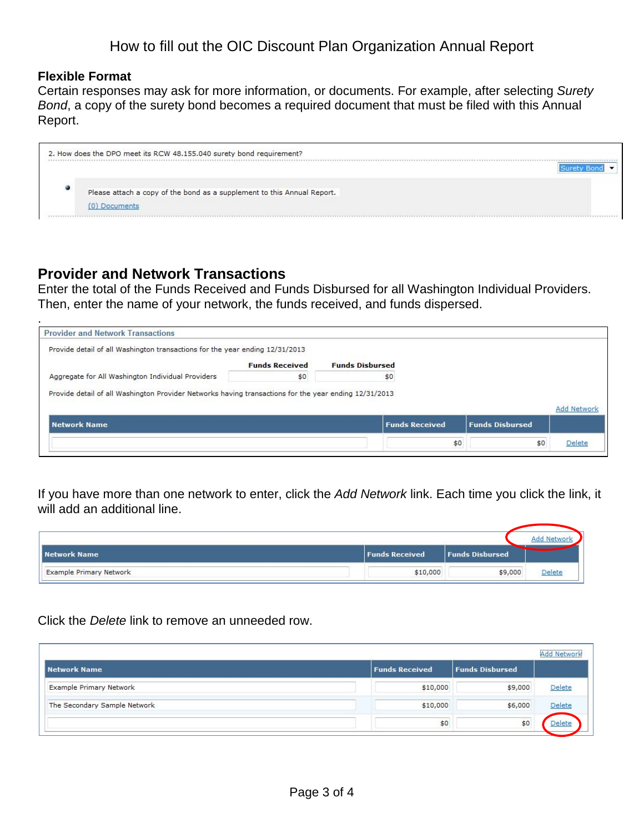#### **Flexible Format**

Certain responses may ask for more information, or documents. For example, after selecting *Surety Bond*, a copy of the surety bond becomes a required document that must be filed with this Annual Report.



# **Provider and Network Transactions**

Enter the total of the Funds Received and Funds Disbursed for all Washington Individual Providers. Then, enter the name of your network, the funds received, and funds dispersed.

| <b>Provider and Network Transactions</b>                                                              |                       |                        |                       |                        |                    |
|-------------------------------------------------------------------------------------------------------|-----------------------|------------------------|-----------------------|------------------------|--------------------|
| Provide detail of all Washington transactions for the year ending 12/31/2013                          |                       |                        |                       |                        |                    |
|                                                                                                       | <b>Funds Received</b> | <b>Funds Disbursed</b> |                       |                        |                    |
| Aggregate for All Washington Individual Providers                                                     | \$0                   |                        | \$0                   |                        |                    |
|                                                                                                       |                       |                        |                       |                        |                    |
|                                                                                                       |                       |                        |                       |                        |                    |
|                                                                                                       |                       |                        |                       |                        |                    |
| Provide detail of all Washington Provider Networks having transactions for the year ending 12/31/2013 |                       |                        |                       |                        | <b>Add Network</b> |
| <b>Network Name</b>                                                                                   |                       |                        | <b>Funds Received</b> | <b>Funds Disbursed</b> |                    |

If you have more than one network to enter, click the *Add Network* link. Each time you click the link, it will add an additional line.

| Network Name                   | <b>Funds Received</b> | <b>Funds Disbursed</b> |        |  |
|--------------------------------|-----------------------|------------------------|--------|--|
| <b>Example Primary Network</b> | \$10,000              | \$9,000                | Delete |  |

Click the *Delete* link to remove an unneeded row.

|                                |                       |                        | <b>Add Network</b> |
|--------------------------------|-----------------------|------------------------|--------------------|
| <b>Network Name</b>            | <b>Funds Received</b> | <b>Funds Disbursed</b> |                    |
| <b>Example Primary Network</b> | \$10,000              | \$9,000                | Delete             |
| The Secondary Sample Network   | \$10,000              | \$6,000                | Delete             |
|                                | \$0                   | \$0                    | Delete             |